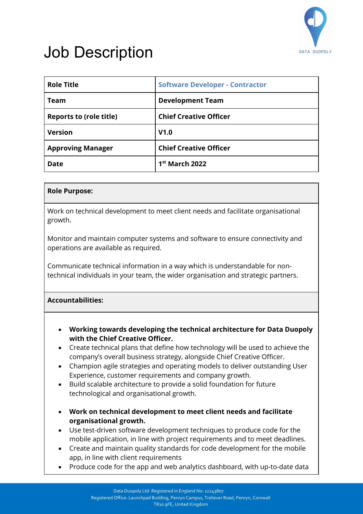

## Job Description

| <b>Role Title</b>              | <b>Software Developer - Contractor</b> |
|--------------------------------|----------------------------------------|
| Team                           | <b>Development Team</b>                |
| <b>Reports to (role title)</b> | <b>Chief Creative Officer</b>          |
| <b>Version</b>                 | V1.0                                   |
| <b>Approving Manager</b>       | <b>Chief Creative Officer</b>          |
| <b>Date</b>                    | $1st$ March 2022                       |

## **Role Purpose:**

Work on technical development to meet client needs and facilitate organisational growth.

Monitor and maintain computer systems and software to ensure connectivity and operations are available as required.

Communicate technical information in a way which is understandable for nontechnical individuals in your team, the wider organisation and strategic partners.

## **Accountabilities:**

- **Working towards developing the technical architecture for Data Duopoly with the Chief Creative Officer.**
- Create technical plans that define how technology will be used to achieve the company's overall business strategy, alongside Chief Creative Officer.
- Champion agile strategies and operating models to deliver outstanding User Experience, customer requirements and company growth.
- Build scalable architecture to provide a solid foundation for future technological and organisational growth.
- **Work on technical development to meet client needs and facilitate organisational growth.**
- Use test-driven software development techniques to produce code for the mobile application, in line with project requirements and to meet deadlines.
- Create and maintain quality standards for code development for the mobile app, in line with client requirements
- Produce code for the app and web analytics dashboard, with up-to-date data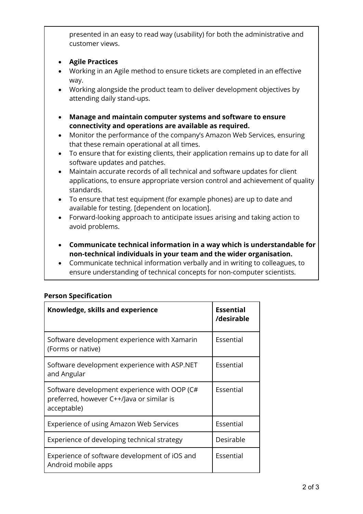presented in an easy to read way (usability) for both the administrative and customer views.

- **Agile Practices**
- Working in an Agile method to ensure tickets are completed in an effective way.
- Working alongside the product team to deliver development objectives by attending daily stand-ups.
- **Manage and maintain computer systems and software to ensure connectivity and operations are available as required.**
- Monitor the performance of the company's Amazon Web Services, ensuring that these remain operational at all times.
- To ensure that for existing clients, their application remains up to date for all software updates and patches.
- Maintain accurate records of all technical and software updates for client applications, to ensure appropriate version control and achievement of quality standards.
- To ensure that test equipment (for example phones) are up to date and available for testing. [dependent on location].
- Forward-looking approach to anticipate issues arising and taking action to avoid problems.
- **Communicate technical information in a way which is understandable for non-technical individuals in your team and the wider organisation.**
- Communicate technical information verbally and in writing to colleagues, to ensure understanding of technical concepts for non-computer scientists.

| Knowledge, skills and experience                                                                         | <b>Essential</b><br>/desirable |
|----------------------------------------------------------------------------------------------------------|--------------------------------|
| Software development experience with Xamarin<br>(Forms or native)                                        | Essential                      |
| Software development experience with ASP.NET<br>and Angular                                              | Essential                      |
| Software development experience with OOP (C#<br>preferred, however C++/Java or similar is<br>acceptable) | Essential                      |
| Experience of using Amazon Web Services                                                                  | Essential                      |
| Experience of developing technical strategy                                                              | Desirable                      |
| Experience of software development of iOS and<br>Android mobile apps                                     | Essential                      |

## **Person Specification**